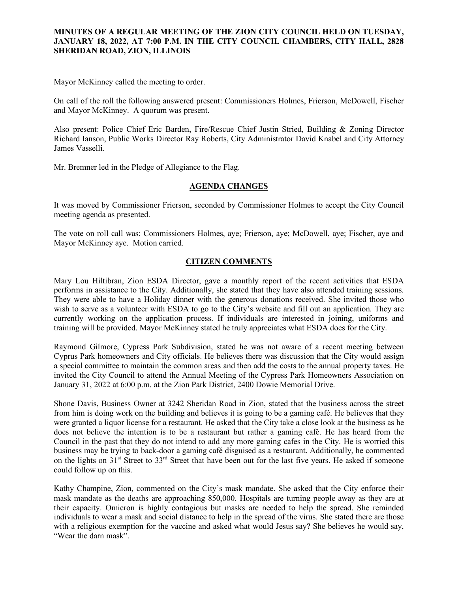## **MINUTES OF A REGULAR MEETING OF THE ZION CITY COUNCIL HELD ON TUESDAY, JANUARY 18, 2022, AT 7:00 P.M. IN THE CITY COUNCIL CHAMBERS, CITY HALL, 2828 SHERIDAN ROAD, ZION, ILLINOIS**

#### 

Mayor McKinney called the meeting to order.

On call of the roll the following answered present: Commissioners Holmes, Frierson, McDowell, Fischer and Mayor McKinney. A quorum was present.

Also present: Police Chief Eric Barden, Fire/Rescue Chief Justin Stried, Building & Zoning Director Richard Ianson, Public Works Director Ray Roberts, City Administrator David Knabel and City Attorney James Vasselli.

Mr. Bremner led in the Pledge of Allegiance to the Flag.

## **AGENDA CHANGES**

It was moved by Commissioner Frierson, seconded by Commissioner Holmes to accept the City Council meeting agenda as presented.

The vote on roll call was: Commissioners Holmes, aye; Frierson, aye; McDowell, aye; Fischer, aye and Mayor McKinney aye. Motion carried.

## **CITIZEN COMMENTS**

Mary Lou Hiltibran, Zion ESDA Director, gave a monthly report of the recent activities that ESDA performs in assistance to the City. Additionally, she stated that they have also attended training sessions. They were able to have a Holiday dinner with the generous donations received. She invited those who wish to serve as a volunteer with ESDA to go to the City's website and fill out an application. They are currently working on the application process. If individuals are interested in joining, uniforms and training will be provided. Mayor McKinney stated he truly appreciates what ESDA does for the City.

Raymond Gilmore, Cypress Park Subdivision, stated he was not aware of a recent meeting between Cyprus Park homeowners and City officials. He believes there was discussion that the City would assign a special committee to maintain the common areas and then add the costs to the annual property taxes. He invited the City Council to attend the Annual Meeting of the Cypress Park Homeowners Association on January 31, 2022 at 6:00 p.m. at the Zion Park District, 2400 Dowie Memorial Drive.

Shone Davis, Business Owner at 3242 Sheridan Road in Zion, stated that the business across the street from him is doing work on the building and believes it is going to be a gaming café. He believes that they were granted a liquor license for a restaurant. He asked that the City take a close look at the business as he does not believe the intention is to be a restaurant but rather a gaming café. He has heard from the Council in the past that they do not intend to add any more gaming cafes in the City. He is worried this business may be trying to back-door a gaming café disguised as a restaurant. Additionally, he commented on the lights on 31<sup>st</sup> Street to 33<sup>rd</sup> Street that have been out for the last five years. He asked if someone could follow up on this.

Kathy Champine, Zion, commented on the City's mask mandate. She asked that the City enforce their mask mandate as the deaths are approaching 850,000. Hospitals are turning people away as they are at their capacity. Omicron is highly contagious but masks are needed to help the spread. She reminded individuals to wear a mask and social distance to help in the spread of the virus. She stated there are those with a religious exemption for the vaccine and asked what would Jesus say? She believes he would say, "Wear the darn mask".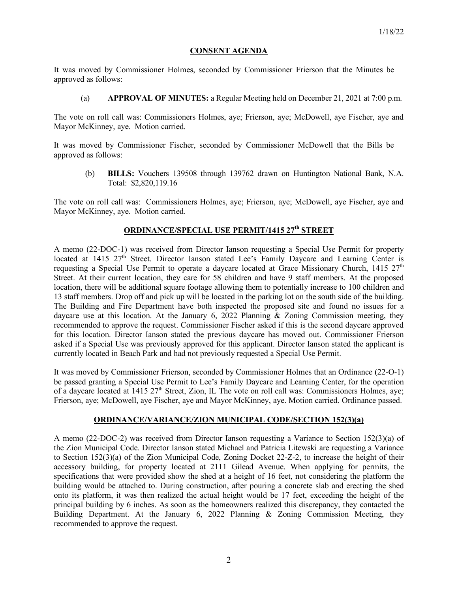### **CONSENT AGENDA**

It was moved by Commissioner Holmes, seconded by Commissioner Frierson that the Minutes be approved as follows:

(a) **APPROVAL OF MINUTES:** a Regular Meeting held on December 21, 2021 at 7:00 p.m.

The vote on roll call was: Commissioners Holmes, aye; Frierson, aye; McDowell, aye Fischer, aye and Mayor McKinney, aye. Motion carried.

It was moved by Commissioner Fischer, seconded by Commissioner McDowell that the Bills be approved as follows:

(b) **BILLS:** Vouchers 139508 through 139762 drawn on Huntington National Bank, N.A. Total: \$2,820,119.16

The vote on roll call was: Commissioners Holmes, aye; Frierson, aye; McDowell, aye Fischer, aye and Mayor McKinney, aye. Motion carried.

# **ORDINANCE/SPECIAL USE PERMIT/1415 27th STREET**

A memo (22-DOC-1) was received from Director Ianson requesting a Special Use Permit for property located at 1415 27<sup>th</sup> Street. Director Ianson stated Lee's Family Daycare and Learning Center is requesting a Special Use Permit to operate a daycare located at Grace Missionary Church,  $1415$   $27<sup>th</sup>$ Street. At their current location, they care for 58 children and have 9 staff members. At the proposed location, there will be additional square footage allowing them to potentially increase to 100 children and 13 staff members. Drop off and pick up will be located in the parking lot on the south side of the building. The Building and Fire Department have both inspected the proposed site and found no issues for a daycare use at this location. At the January 6, 2022 Planning & Zoning Commission meeting, they recommended to approve the request. Commissioner Fischer asked if this is the second daycare approved for this location. Director Ianson stated the previous daycare has moved out. Commissioner Frierson asked if a Special Use was previously approved for this applicant. Director Ianson stated the applicant is currently located in Beach Park and had not previously requested a Special Use Permit.

It was moved by Commissioner Frierson, seconded by Commissioner Holmes that an Ordinance (22-O-1) be passed granting a Special Use Permit to Lee's Family Daycare and Learning Center, for the operation of a daycare located at 1415 27<sup>th</sup> Street, Zion, IL The vote on roll call was: Commissioners Holmes, aye; Frierson, aye; McDowell, aye Fischer, aye and Mayor McKinney, aye. Motion carried. Ordinance passed.

### **ORDINANCE/VARIANCE/ZION MUNICIPAL CODE/SECTION 152(3)(a)**

A memo (22-DOC-2) was received from Director Ianson requesting a Variance to Section 152(3)(a) of the Zion Municipal Code. Director Ianson stated Michael and Patricia Litewski are requesting a Variance to Section 152(3)(a) of the Zion Municipal Code, Zoning Docket 22-Z-2, to increase the height of their accessory building, for property located at 2111 Gilead Avenue. When applying for permits, the specifications that were provided show the shed at a height of 16 feet, not considering the platform the building would be attached to. During construction, after pouring a concrete slab and erecting the shed onto its platform, it was then realized the actual height would be 17 feet, exceeding the height of the principal building by 6 inches. As soon as the homeowners realized this discrepancy, they contacted the Building Department. At the January 6, 2022 Planning & Zoning Commission Meeting, they recommended to approve the request.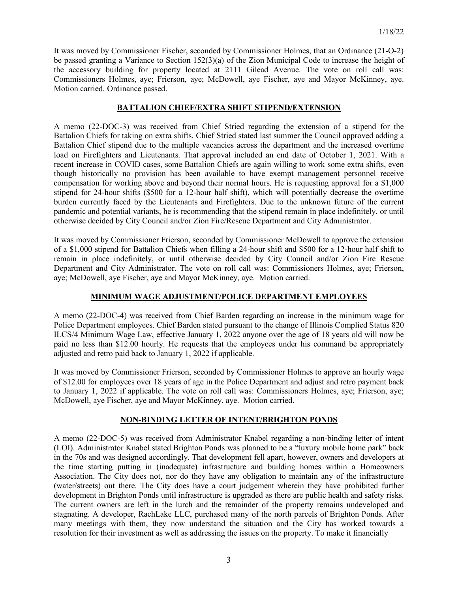It was moved by Commissioner Fischer, seconded by Commissioner Holmes, that an Ordinance (21-O-2) be passed granting a Variance to Section 152(3)(a) of the Zion Municipal Code to increase the height of the accessory building for property located at 2111 Gilead Avenue. The vote on roll call was: Commissioners Holmes, aye; Frierson, aye; McDowell, aye Fischer, aye and Mayor McKinney, aye. Motion carried. Ordinance passed.

# **BATTALION CHIEF/EXTRA SHIFT STIPEND/EXTENSION**

A memo (22-DOC-3) was received from Chief Stried regarding the extension of a stipend for the Battalion Chiefs for taking on extra shifts. Chief Stried stated last summer the Council approved adding a Battalion Chief stipend due to the multiple vacancies across the department and the increased overtime load on Firefighters and Lieutenants. That approval included an end date of October 1, 2021. With a recent increase in COVID cases, some Battalion Chiefs are again willing to work some extra shifts, even though historically no provision has been available to have exempt management personnel receive compensation for working above and beyond their normal hours. He is requesting approval for a \$1,000 stipend for 24-hour shifts (\$500 for a 12-hour half shift), which will potentially decrease the overtime burden currently faced by the Lieutenants and Firefighters. Due to the unknown future of the current pandemic and potential variants, he is recommending that the stipend remain in place indefinitely, or until otherwise decided by City Council and/or Zion Fire/Rescue Department and City Administrator.

It was moved by Commissioner Frierson, seconded by Commissioner McDowell to approve the extension of a \$1,000 stipend for Battalion Chiefs when filling a 24-hour shift and \$500 for a 12-hour half shift to remain in place indefinitely, or until otherwise decided by City Council and/or Zion Fire Rescue Department and City Administrator. The vote on roll call was: Commissioners Holmes, aye; Frierson, aye; McDowell, aye Fischer, aye and Mayor McKinney, aye. Motion carried.

## **MINIMUM WAGE ADJUSTMENT/POLICE DEPARTMENT EMPLOYEES**

A memo (22-DOC-4) was received from Chief Barden regarding an increase in the minimum wage for Police Department employees. Chief Barden stated pursuant to the change of Illinois Complied Status 820 ILCS/4 Minimum Wage Law, effective January 1, 2022 anyone over the age of 18 years old will now be paid no less than \$12.00 hourly. He requests that the employees under his command be appropriately adjusted and retro paid back to January 1, 2022 if applicable.

It was moved by Commissioner Frierson, seconded by Commissioner Holmes to approve an hourly wage of \$12.00 for employees over 18 years of age in the Police Department and adjust and retro payment back to January 1, 2022 if applicable. The vote on roll call was: Commissioners Holmes, aye; Frierson, aye; McDowell, aye Fischer, aye and Mayor McKinney, aye. Motion carried.

## **NON-BINDING LETTER OF INTENT/BRIGHTON PONDS**

A memo (22-DOC-5) was received from Administrator Knabel regarding a non-binding letter of intent (LOI). Administrator Knabel stated Brighton Ponds was planned to be a "luxury mobile home park" back in the 70s and was designed accordingly. That development fell apart, however, owners and developers at the time starting putting in (inadequate) infrastructure and building homes within a Homeowners Association. The City does not, nor do they have any obligation to maintain any of the infrastructure (water/streets) out there. The City does have a court judgement wherein they have prohibited further development in Brighton Ponds until infrastructure is upgraded as there are public health and safety risks. The current owners are left in the lurch and the remainder of the property remains undeveloped and stagnating. A developer, RachLake LLC, purchased many of the north parcels of Brighton Ponds. After many meetings with them, they now understand the situation and the City has worked towards a resolution for their investment as well as addressing the issues on the property. To make it financially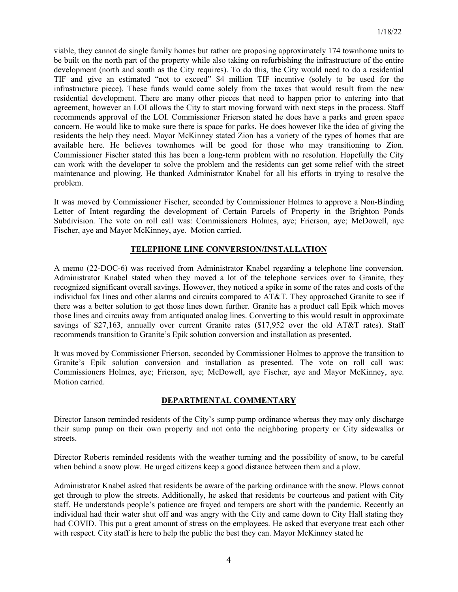viable, they cannot do single family homes but rather are proposing approximately 174 townhome units to be built on the north part of the property while also taking on refurbishing the infrastructure of the entire development (north and south as the City requires). To do this, the City would need to do a residential TIF and give an estimated "not to exceed" \$4 million TIF incentive (solely to be used for the infrastructure piece). These funds would come solely from the taxes that would result from the new residential development. There are many other pieces that need to happen prior to entering into that agreement, however an LOI allows the City to start moving forward with next steps in the process. Staff recommends approval of the LOI. Commissioner Frierson stated he does have a parks and green space concern. He would like to make sure there is space for parks. He does however like the idea of giving the residents the help they need. Mayor McKinney stated Zion has a variety of the types of homes that are available here. He believes townhomes will be good for those who may transitioning to Zion. Commissioner Fischer stated this has been a long-term problem with no resolution. Hopefully the City can work with the developer to solve the problem and the residents can get some relief with the street maintenance and plowing. He thanked Administrator Knabel for all his efforts in trying to resolve the problem.

It was moved by Commissioner Fischer, seconded by Commissioner Holmes to approve a Non-Binding Letter of Intent regarding the development of Certain Parcels of Property in the Brighton Ponds Subdivision. The vote on roll call was: Commissioners Holmes, aye; Frierson, aye; McDowell, aye Fischer, aye and Mayor McKinney, aye. Motion carried.

# **TELEPHONE LINE CONVERSION/INSTALLATION**

A memo (22-DOC-6) was received from Administrator Knabel regarding a telephone line conversion. Administrator Knabel stated when they moved a lot of the telephone services over to Granite, they recognized significant overall savings. However, they noticed a spike in some of the rates and costs of the individual fax lines and other alarms and circuits compared to AT&T. They approached Granite to see if there was a better solution to get those lines down further. Granite has a product call Epik which moves those lines and circuits away from antiquated analog lines. Converting to this would result in approximate savings of \$27,163, annually over current Granite rates (\$17,952 over the old AT&T rates). Staff recommends transition to Granite's Epik solution conversion and installation as presented.

It was moved by Commissioner Frierson, seconded by Commissioner Holmes to approve the transition to Granite's Epik solution conversion and installation as presented. The vote on roll call was: Commissioners Holmes, aye; Frierson, aye; McDowell, aye Fischer, aye and Mayor McKinney, aye. Motion carried.

## **DEPARTMENTAL COMMENTARY**

Director Ianson reminded residents of the City's sump pump ordinance whereas they may only discharge their sump pump on their own property and not onto the neighboring property or City sidewalks or streets.

Director Roberts reminded residents with the weather turning and the possibility of snow, to be careful when behind a snow plow. He urged citizens keep a good distance between them and a plow.

Administrator Knabel asked that residents be aware of the parking ordinance with the snow. Plows cannot get through to plow the streets. Additionally, he asked that residents be courteous and patient with City staff. He understands people's patience are frayed and tempers are short with the pandemic. Recently an individual had their water shut off and was angry with the City and came down to City Hall stating they had COVID. This put a great amount of stress on the employees. He asked that everyone treat each other with respect. City staff is here to help the public the best they can. Mayor McKinney stated he